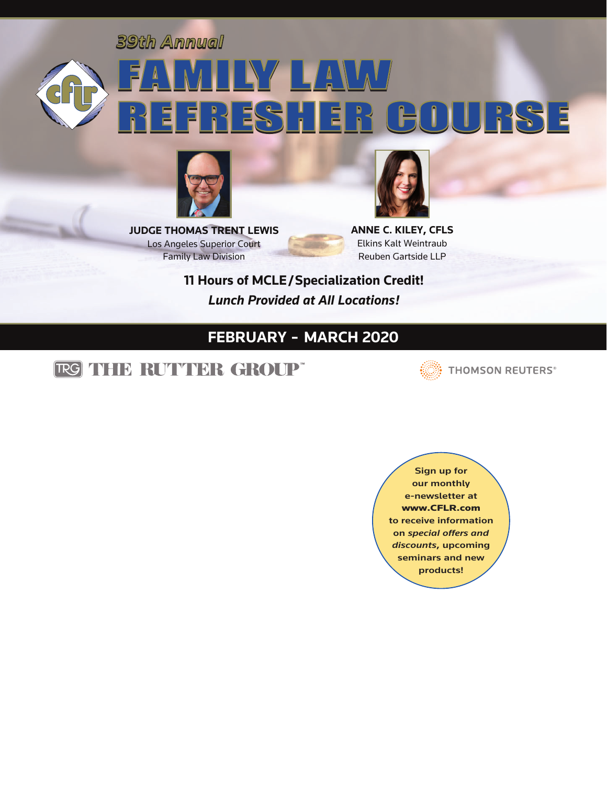*39th Annual 39th Annual*

# <sup>39th</sup> Annual<br><mark>FAMILY LAW</mark> REFRESHER COURSE R REFRESHER COURSE R



**JUDGE THOMAS TRENT LEWIS**  Los Angeles Superior Court Family Law Division



**ANNE C. KILEY, CFLS**  Elkins Kalt Weintraub Reuben Gartside LLP

**11 Hours of MCLE/Specialization Credit!**  *Lunch Provided at All Locations!*

#### **FEBRUARY** - **MARCH 2020**

TRG THE RUTTER GROUP"



**THOMSON REUTERS®** 

**Sign up for our monthly e-newsletter at www.CFLR.com to receive information on** *special offers and discounts***, upcoming seminars and new products!**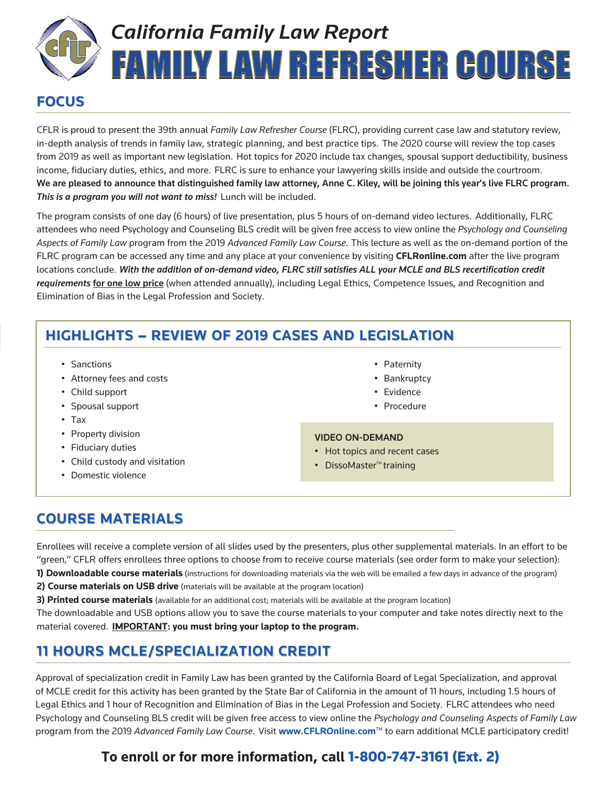### FAMILY LAW REFRESHER COURSE FAMILY LAW REFRESHER COURSE *California Family Law Report*

#### **FOCUS**

CFLR is proud to present the 39th annual *Family Law Refresher Course* (FLRC), providing current case law and statutory review, in-depth analysis of trends in family law, strategic planning, and best practice tips. The 2020 course will review the top cases from 2019 as well as important new legislation. Hot topics for 2020 include tax changes, spousal support deductibility, business income, fiduciary duties, ethics, and more. FLRC is sure to enhance your lawyering skills inside and outside the courtroom. **We are pleased to announce that distinguished family law attorney, Anne C. Kiley, will be joining this year's live FLRC program.** *This is a program you will not want to miss!* Lunch will be included.

The program consists of one day (6 hours) of live presentation, plus 5 hours of on-demand video lectures. Additionally, FLRC attendees who need Psychology and Counseling BLS credit will be given free access to view online the *Psychology and Counseling Aspects of Family Law* program from the 2019 *Advanced Family Law Course*. This lecture as well as the on-demand portion of the FLRC program can be accessed any time and any place at your convenience by visiting **CFLRonline.com** after the live program locations conclude. *With the addition of on-demand video, FLRC still satisfies ALL your MCLE and BLS recertification credit requirements* **for one low price** (when attended annually), including Legal Ethics, Competence Issues, and Recognition and Elimination of Bias in the Legal Profession and Society.

#### **HIGHLIGHTS HIGHLIGHTS - REVIEW OF 2019 CASES AND LEGISLATION REVIEW OF 2019 CASES AND LEGISLATION**

- Sanctions
- Attorney fees and costs
- Child support
- Spousal support
- Tax
- Property division
- Fiduciary duties
- Child custody and visitation
- Domestic violence
- Paternity
- Bankruptcy
- Evidence
- Procedure

#### **VIDEO ON-DEMAND**

- Hot topics and recent cases
- DissoMaster<sup>™</sup> training

#### **COURSE MATERIALS COURSE MATERIALS**

Enrollees will receive a complete version of all slides used by the presenters, plus other supplemental materials. In an effort to be "green," CFLR offers enrollees three options to choose from to receive course materials (see order form to make your selection):

**1) Downloadable course materials** (instructions for downloading materials via the web will be emailed a few days in advance of the program) **2) Course materials on USB drive** (materials will be available at the program location)

**3) Printed course materials** (available for an additional cost; materials will be available at the program location)

The downloadable and USB options allow you to save the course materials to your computer and take notes directly next to the material covered. **IMPORTANT: you must bring your laptop to the program.**

#### **11 HOURS MCLE/SPECIALIZATION CREDIT 11 HOURS MCLE/SPECIALIZATION CREDIT**

Approval of specialization credit in Family Law has been granted by the California Board of Legal Specialization, and approval of MCLE credit for this activity has been granted by the State Bar of California in the amount of 11 hours, including 1.5 hours of Legal Ethics and 1 hour of Recognition and Elimination of Bias in the Legal Profession and Society. FLRC attendees who need Psychology and Counseling BLS credit will be given free access to view online the *Psychology and Counseling Aspects of Family Law* program from the 2019 *Advanced Family Law Course*. Visit **www.CFLROnline.com**™ to earn additional MCLE participatory credit!

#### **To enroll or for more information, call 1-800-747-3161 (Ext. 2)**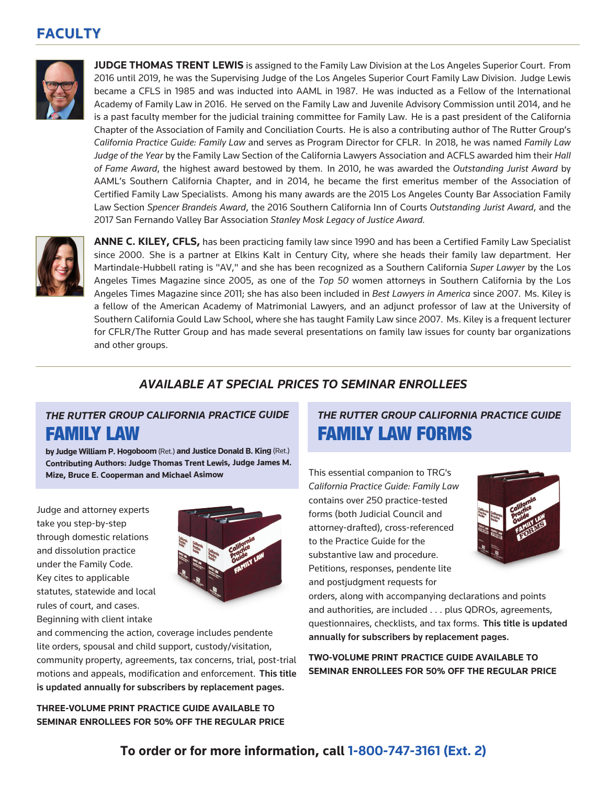#### **FACULTY FACULTY**



**JUDGE THOMAS TRENT LEWIS** is assigned to the Family Law Division at the Los Angeles Superior Court. From 2016 until 2019, he was the Supervising Judge of the Los Angeles Superior Court Family Law Division. Judge Lewis became a CFLS in 1985 and was inducted into AAML in 1987. He was inducted as a Fellow of the International Academy of Family Law in 2016. He served on the Family Law and Juvenile Advisory Commission until 2014, and he is a past faculty member for the judicial training committee for Family Law. He is a past president of the California Chapter of the Association of Family and Conciliation Courts. He is also a contributing author of The Rutter Group's *California Practice Guide: Family Law* and serves as Program Director for CFLR. In 2018, he was named *Family Law Judge of the Year* by the Family Law Section of the California Lawyers Association and ACFLS awarded him their *Hall of Fame Award*, the highest award bestowed by them. In 2010, he was awarded the *Outstanding Jurist Award* by AAML's Southern California Chapter, and in 2014, he became the first emeritus member of the Association of Certified Family Law Specialists. Among his many awards are the 2015 Los Angeles County Bar Association Family Law Section *Spencer Brandeis Award*, the 2016 Southern California Inn of Courts *Outstanding Jurist Award*, and the 2017 San Fernando Valley Bar Association *Stanley Mosk Legacy of Justice Award.*



**ANNE C. KILEY, CFLS,** has been practicing family law since 1990 and has been a Certified Family Law Specialist since 2000. She is a partner at Elkins Kalt in Century City, where she heads their family law department. Her Martindale-Hubbell rating is "AV," and she has been recognized as a Southern California *Super Lawyer* by the Los Angeles Times Magazine since 2005, as one of the *Top 50* women attorneys in Southern California by the Los Angeles Times Magazine since 2011; she has also been included in *Best Lawyers in America* since 2007. Ms. Kiley is a fellow of the American Academy of Matrimonial Lawyers, and an adjunct professor of law at the University of Southern California Gould Law School, where she has taught Family Law since 2007. Ms. Kiley is a frequent lecturer for CFLR/The Rutter Group and has made several presentations on family law issues for county bar organizations and other groups.

#### *AVAILABLE AT SPECIAL PRICES TO SEMINAR ENROLLEES*

#### *THE RUTTER GROUP CALIFORNIA PRACTICE GUIDE* **FAMILY LAW**

**by Judge William P. Hogoboom** (Ret.) **and Justice Donald B. King** (Ret.) **Contributing Authors: Judge Thomas Trent Lewis, Judge James M. Mize, Bruce E. Cooperman and Michael Asimow**

Judge and attorney experts take you step-by-step through domestic relations and dissolution practice under the Family Code. Key cites to applicable statutes, statewide and local rules of court, and cases. Beginning with client intake



and commencing the action, coverage includes pendente lite orders, spousal and child support, custody/visitation, community property, agreements, tax concerns, trial, post-trial motions and appeals, modification and enforcement. **This title is updated annually for subscribers by replacement pages.** 

**THREE-VOLUME PRINT PRACTICE GUIDE AVAILABLE TO SEMINAR ENROLLEES FOR 50% OFF THE REGULAR PRICE**

#### *THE RUTTER GROUP CALIFORNIA PRACTICE GUIDE* **FAMILY LAW FORMS**

This essential companion to TRG's *California Practice Guide: Family Law*  contains over 250 practice-tested forms (both Judicial Council and attorney-drafted), cross-referenced to the Practice Guide for the substantive law and procedure. Petitions, responses, pendente lite and postjudgment requests for



orders, along with accompanying declarations and points and authorities, are included . . . plus QDROs, agreements, questionnaires, checklists, and tax forms. **This title is updated annually for subscribers by replacement pages.** 

**TWO-VOLUME PRINT PRACTICE GUIDE AVAILABLE TO SEMINAR ENROLLEES FOR 50% OFF THE REGULAR PRICE**

#### **To order or for more information, call 1-800-747-3161 (Ext. 2)**